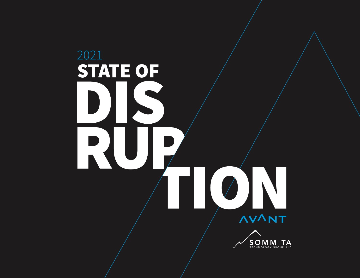# 2021STATE OF R  $\sqrt{1}$ **AVANT SOMMITA**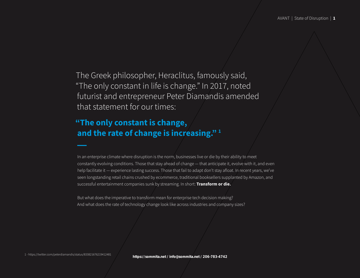The Greek philosopher, Heraclitus, famously said, "The only constant in life is change." In 2017, noted futurist and entrepreneur Peter Diamandis amended that statement for our times:

#### **"The only constant is change, and the rate of change is increasing." 1**

In an enterprise climate where disruption is the norm, businesses live or die by their ability to meet constantly evolving conditions. Those that stay ahead of change — that anticipate it, evolve with it, and even help facilitate it — experience lasting success. Those that fail to adapt don't stay afloat. In recent years, we've seen longstanding retail chains crushed by ecommerce, traditional booksellers supplanted by Amazon, and successful entertainment companies sunk by streaming. In short: **Transform or die.**

But what does the imperative to transform mean for enterprise tech decision making? And what does the rate of technology change look like across industries and company sizes?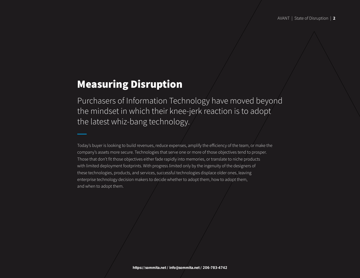### Measuring Disruption

Purchasers of Information Technology have moved beyond the mindset in which their knee-jerk reaction is to adopt the latest whiz-bang technology.

Today's buyer is looking to build revenues, reduce expenses, amplify the efficiency of the team, or make the company's assets more secure. Technologies that serve one or more of those objectives tend to prosper. Those that don't fit those objectives either fade rapidly into memories, or translate to niche products with limited deployment footprints. With progress limited only by the ingenuity of the designers of these technologies, products, and services, successful technologies displace older ones, leaving enterprise technology decision makers to decide whether to adopt them, how to adopt them, and when to adopt them.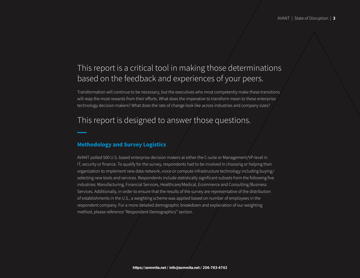#### This report is a critical tool in making those determinations based on the feedback and experiences of your peers.

Transformation will continue to be necessary, but the executives who most competently make these transitions will reap the most rewards from their efforts. What does the imperative to transform mean to these enterprise technology decision makers? What does the rate of change look like across industries and company sizes?

#### This report is designed to answer those questions.

#### **Methodology and Survey Logistics**

AVANT polled 500 U.S.-based enterprise decision makers at either the C-suite or Management/VP-level in IT, security or finance. To qualify for the survey, respondents had to be involved in choosing or helping their organization to implement new data network, voice or compute infrastructure technology including buying/ selecting new tools and services. Respondents include statistically significant subsets from the following five industries: Manufacturing, Financial Services, Healthcare/Medical, Ecommerce and Consulting/Business Services. Additionally, in order to ensure that the results of the survey are representative of the distribution of establishments in the U.S., a weighting scheme was applied based on number of employees in the respondent company. For a more detailed demographic breakdown and explanation of our weighting method, please reference "Respondent Demographics" section.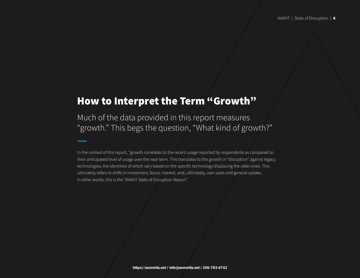#### How to Interpret the Term "Growth"

Much of the data provided in this report measures "growth." This begs the question, "What kind of growth?"

In the context of this report, "growth correlates to the recent usage reported by respondents as compared to their anticipated level of usage over the near term. This translates to the growth in "disruption" against legacy technologies, the identities of which vary based on the specific technology displacing the older ones. This ultimately refers to shifts in investment, focus, interest, and, ultimately, user seats and general uptake. In other words, this is the "AVANT State of Disruption Report."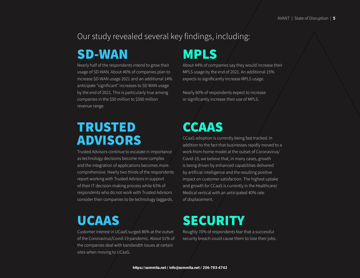#### Our study revealed several key findings, including:

### SD-WAN

Nearly half of the respondents intend to grow their usage of SD-WAN. About 46% of companies plan to increase SD-WAN usage 2021 and an additional 14% anticipate "significant" increases to SD WAN usage by the end of 2021. This is particularly true among companies in the \$50 million to \$500 million revenue range.

## TRUSTED ADVISORS

Trusted Advisors continue to escalate in importance as technology decisions become more complex and the integration of applications becomes more comprehensive. Nearly two thirds of the respondents report working with Trusted Advisors in support of their IT decision-making process while 63% of respondents who do not work with Trusted Advisors consider their companies to be technology laggards.

# UCAAS

Customer interest in UCaaS surged 86% at the outset of the Coronavirus/Covid-19 pandemic. About 51% of the companies deal with bandwidth issues at certain sites when moving to UCaaS.

# MPLS

About 44% of companies say they would increase their MPLS usage by the end of 2021. An additional 15% expects to significantly increase MPLS usage.

Nearly 60% of respondents expect to increase or significantly increase their use of MPLS.

# CCAAS

CCaaS adoption is currently being fast-tracked. In addition to the fact that businesses rapidly moved to a work-from-home model at the outset of Coronavirus/ Covid-19, we believe that, in many cases, growth is being driven by enhanced capabilities delivered by artificial intelligence and the resulting positive impact on customer satisfaction. The highest uptake and growth for CCaaS is currently in the Healthcare/ Medical vertical with an anticipated 40% rate of displacement.

# **SECURITY**

Roughly 70% of respondents fear that a successful security breach could cause them to lose their jobs.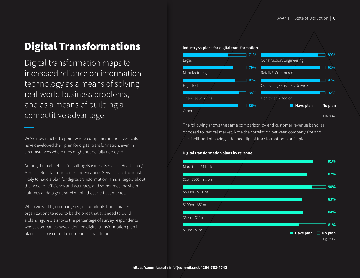### Digital Transformations

Digital transformation maps to increased reliance on information technology as a means of solving real-world business problems, and as a means of building a competitive advantage.

We've now reached a point where companies in most verticals have developed their plan for digital transformation, even in circumstances where they might not be fully deployed.

Among the highlights, Consulting/Business Services, Healthcare/ Medical, Retail/eCommerce, and Financial Services are the most likely to have a plan for digital transformation. This is largely about the need for efficiency and accuracy, and sometimes the sheer volumes of data generated within these vertical markets.

When viewed by company size, respondents from smaller organizations tended to be the ones that still need to build a plan. Figure 1.1 shows the percentage of survey respondents whose companies have a defined digital transformation plan in place as opposed to the companies that do not.



The following shows the same comparison by end customer revenue band, as opposed to vertical market. Note the correlation between company size and the likelihood of having a defined digital transformation plan in place.

#### **Digital transformation plans by revenue**

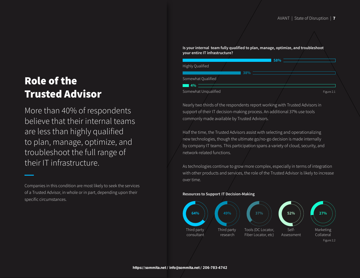### Role of the Trusted Advisor

More than 40% of respondents believe that their internal teams are less than highly qualified to plan, manage, optimize, and troubleshoot the full range of their IT infrastructure.

Companies in this condition are most likely to seek the services of a Trusted Advisor, in whole or in part, depending upon their specific circumstances.

**Is your internal team fully qualified to plan, manage, optimize, and troubleshoot your entire IT infrastructure?**

|                      |     | 58% |            |
|----------------------|-----|-----|------------|
| Highly Qualified     |     |     |            |
|                      | 38% |     |            |
| Somewhat Qualified   |     |     |            |
| $\blacksquare$ 4%    |     |     |            |
| Somewhat Unqualified |     |     | Figure 2.1 |

Nearly two thirds of the respondents report working with Trusted Advisors in support of their IT decision-making process. An additional 37% use tools commonly made available by Trusted Advisors.

Half the time, the Trusted Advisors assist with selecting and operationalizing new technologies, though the ultimate go/no-go decision is made internally by company IT teams. This participation spans a variety of cloud, security, and network-related functions.

As technologies continue to grow more complex, especially in terms of integration with other products and services, the role of the Trusted Advisor is likely to increase over time.

#### **Resources to Support IT Decision-Making**

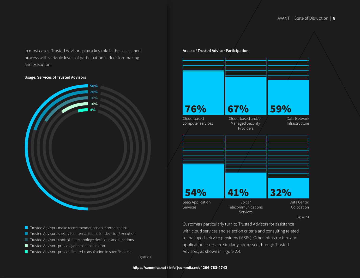In most cases, Trusted Advisors play a key role in the assessment process with variable levels of participation in decision-making and execution.

#### **Usage: Services of Trusted Advisors**



- $\blacksquare$  Trusted Advisors make recommendations to internal teams
- Trusted Advisors specify to internal teams for decision/execution
- **Trusted Advisors control all technology decisions and functions**
- Trusted Advisors provide general consultation
- Trusted Advisors provide limited consultation in specific areas

Figure 2.3

| 67%<br>Cloud-based and/or<br>Managed Security<br>Providers | 59% | Data Network<br>Infrastructure      |
|------------------------------------------------------------|-----|-------------------------------------|
|                                                            |     |                                     |
|                                                            |     |                                     |
|                                                            |     |                                     |
| 41%                                                        |     |                                     |
|                                                            |     | 32%<br>Voice/<br>Telecommunications |

Figure 2.4

Customers particularly turn to Trusted Advisors for assistance with cloud services and selection criteria and consulting related to managed setrvice providers (MSPs). Other infrastructure and application issues are similarly addressed through Trusted Advisors, as shown in Figure 2.4.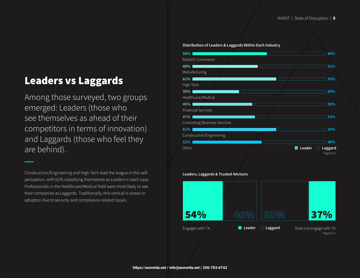### Leaders vs Laggards

Among those surveyed, two groups emerged: Leaders (those who see themselves as ahead of their competitors in terms of innovation) and Laggards (those who feel they are behind).

Construction/Engineering and High Tech lead the league in this selfperception, with 61% classifying themselves as Leaders in each case. Professionals in the Healthcare/Medical field were most likely to see their companies as Laggards. Traditionally, this vertical is slower in adoption due to security and compliance-related issues.

#### **Distribution of Leaders & Laggards Within Each Industry** Figure 3.1 Retail/E-Commerce Manufacturing **51% 44% 49% 56%** High Tech Healthcare/Medical **65% 39% 35% 61%** Financial Services **45% 55%** Consulting/Business Services Construction/Engineering **39% 53% 61% 47% Other 52% 48% Leader Laggard**

**Leaders, Laggards & Trusted Advisors**

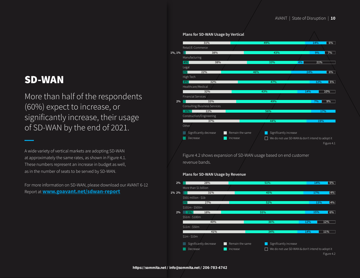#### SD-WAN

More than half of the respondents (60%) expect to increase, or significantly increase, their usage of SD-WAN by the end of 2021.

A wide variety of vertical markets are adopting SD-WAN at approximately the same rates, as shown in Figure 4.1. These numbers represent an increase in budget as well, as in the number of seats to be served by SD-WAN.

For more information on SD-WAN, please download our AVANT 6-12 Report at **[www.goavant.net/sdwan-report](http://www.goavant.net/sdwan-report)**



Figure 4.2 shows expansion of SD-WAN usage based on end customer revenue bands.

#### **Plans for SD-WAN Usage by Revenue**

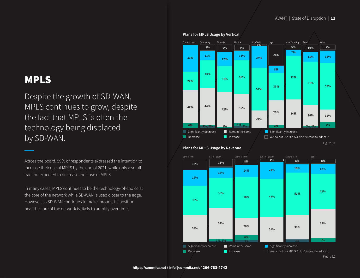### MPLS

Despite the growth of SD-WAN, MPLS continues to grow, despite the fact that MPLS is often the technology being displaced by SD-WAN.

Across the board, 59% of respondents expressed the intention to increase their use of MPLS by the end of 2021, while only a small fraction expected to decrease their use of MPLS.

In many cases, MPLS continues to be the technology-of-choice at the core of the network while SD-WAN is used closer to the edge. However, as SD-WAN continues to make inroads, its position near the core of the network is likely to amplify over time.



#### **Plans for MPLS Usage by Revenue**

Figure 5.2  $\blacksquare$  Significantly decrease  $\blacksquare$  Remain the same Decrease **Increase** Increase  $\Box$  We do not use MPLS & don't intend to adopt it  $\blacksquare$  Significantly increase \$1m-\$10m \$11m-\$50m \$51m-\$100m \$101m-\$500m \$1b+ **33% 37% 31% 30% 5% 35% 19% 13% 36% 13% 11% 6% 20% 50% 14% 8% 47% 21% 51% 10% 35% 42% 12% 1% 6% 6% 1%, 1% 3% 3%**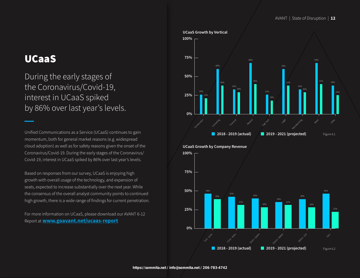#### UCaaS

During the early stages of the Coronavirus/Covid-19, interest in UCaaS spiked by 86% over last year's levels.

Unified Communications as a Service (UCaaS) continues to gain momentum, both for general market reasons (e.g. widespread cloud adoption) as well as for safety reasons given the onset of the Coronavirus/Covid-19. During the early stages of the Coronavirus/ Covid-19, interest in UCaaS spiked by 86% over last year's levels.

Based on responses from our survey, UCaaS is enjoying high growth with overall usage of the technology, and expansion of seats, expected to increase substantially over the next year. While the consensus of the overall analyst community points to continued high growth, there is a wide range of findings for current penetration.

For more information on UCaaS, please download our AVANT 6-12 Report at **[www.goavant.net/ucaas-report](http://www.goavant.net/ucaas-report)**

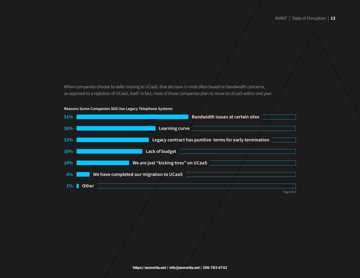When companies choose to defer moving to UCaaS, that decision is most often based on bandwidth concerns, as opposed to a rejection of UCaaS, itself. In fact, most of those companies plan to move to UCaaS within one year.



**Reasons Some Companies Still Use Legacy Telephone Systems**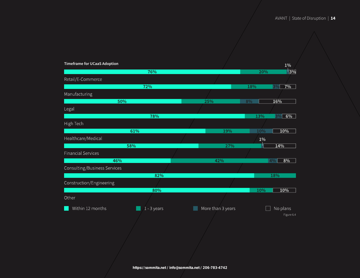| <b>Timeframe for UCaaS Adoption</b> |               |                                                       |       | $1\%$           |
|-------------------------------------|---------------|-------------------------------------------------------|-------|-----------------|
|                                     | 76%           |                                                       | 20%   | $\frac{1}{3\%}$ |
| Retail/E-Commerce                   |               |                                                       |       |                 |
|                                     | 72%           |                                                       | 18%   | 3%<br>7%        |
| Manufacturing                       |               |                                                       |       |                 |
| 50%                                 |               | 25%                                                   | 8%    | 16%             |
| Legal                               |               |                                                       |       |                 |
|                                     | 78%           |                                                       | 13%   | 3%<br>6%        |
| High Tech                           |               |                                                       |       |                 |
|                                     | 61%           | 19%                                                   | 10%   | 10%             |
| Healthcare/Medical                  |               |                                                       | $1\%$ |                 |
|                                     | 58%           | 27%                                                   |       | 14%             |
| <b>Financial Services</b>           |               |                                                       |       |                 |
| 46%                                 |               | 42%                                                   |       | 8%<br>4%        |
| Consulting/Business Services        |               |                                                       |       |                 |
|                                     | 82%           |                                                       |       | 18%             |
| Construction/Engineering            |               |                                                       |       |                 |
|                                     | 80%           |                                                       | 10%   | 10%             |
| Other                               |               |                                                       |       |                 |
| Within 12 months                    | $1 - 3$ years | More than 3 years                                     |       | No plans        |
|                                     |               |                                                       |       | Figure 6.4      |
|                                     |               |                                                       |       |                 |
|                                     |               |                                                       |       |                 |
|                                     |               |                                                       |       |                 |
|                                     |               |                                                       |       |                 |
|                                     |               |                                                       |       |                 |
|                                     |               |                                                       |       |                 |
|                                     |               | https://sommita.net / info@sommita.net / 206-783-4742 |       |                 |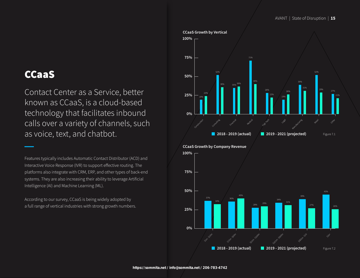### CCaaS

Contact Center as a Service, better known as CCaaS, is a cloud-based technology that facilitates inbound calls over a variety of channels, such as voice, text, and chatbot.

Features typically includes Automatic Contact Distributor (ACD) and Interactive Voice Response (IVR) to support effective routing. The platforms also integrate with CRM, ERP, and other types of back-end systems. They are also increasing their ability to leverage Artificial Intelligence (AI) and Machine Learning (ML).

According to our survey, CCaaS is being widely adopted by a full range of vertical industries with strong growth numbers.

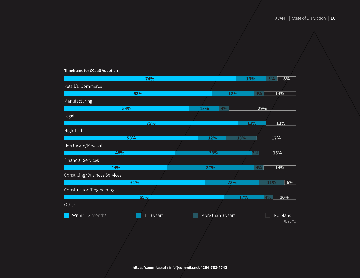#### **Timeframe for CCaaS Adoption**

|                              | 74%                                                   |     |                   | 13%       | $5\%$ | 8%         |
|------------------------------|-------------------------------------------------------|-----|-------------------|-----------|-------|------------|
| Retail/E-Commerce            |                                                       |     |                   |           |       |            |
|                              | 63%                                                   |     |                   | 18%<br>4% | 14%   |            |
| Manufacturing                |                                                       |     |                   |           |       |            |
| 54%                          |                                                       | 13% | 4%                |           | 29%   |            |
| Legal                        |                                                       |     |                   |           |       |            |
|                              | 75%                                                   |     |                   | 12%       |       | 13%        |
| High Tech                    |                                                       |     |                   |           |       |            |
| 58%                          |                                                       |     | 12%               | 13%       | 17%   |            |
| Healthcare/Medical           |                                                       |     |                   |           |       |            |
| 48%                          |                                                       |     | 33%               | 3%        | 16%   |            |
| <b>Financial Services</b>    |                                                       |     |                   |           |       |            |
| 44%                          |                                                       |     | 37%               | 4%        | 14%   |            |
| Consulting/Business Services |                                                       |     |                   |           |       |            |
| 61%                          |                                                       |     |                   | 23%       | 11%   | $5\%$      |
| Construction/Engineering     |                                                       |     |                   |           |       |            |
|                              | 69%                                                   |     |                   | 17%       | 4%    | 10%        |
| Other                        |                                                       |     |                   |           |       |            |
| Within 12 months             | $1 - 3$ years                                         |     | More than 3 years |           |       | No plans   |
|                              |                                                       |     |                   |           |       | Figure 7.3 |
|                              |                                                       |     |                   |           |       |            |
|                              |                                                       |     |                   |           |       |            |
|                              |                                                       |     |                   |           |       |            |
|                              |                                                       |     |                   |           |       |            |
|                              |                                                       |     |                   |           |       |            |
|                              | https://sommita.net / info@sommita.net / 206-783-4742 |     |                   |           |       |            |
|                              |                                                       |     |                   |           |       |            |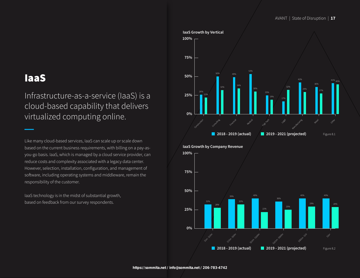### IaaS

Infrastructure-as-a-service (IaaS) is a cloud-based capability that delivers virtualized computing online.

Like many cloud-based services, IaaS can scale up or scale down based on the current business requirements, with billing on a pay-asyou-go basis. IaaS, which is managed by a cloud service provider, can reduce costs and complexity associated with a legacy data center. However, selection, installation, configuration, and management of software, including operating systems and middleware, remain the responsibility of the customer.

IaaS technology is in the midst of substantial growth, based on feedback from our survey respondents.

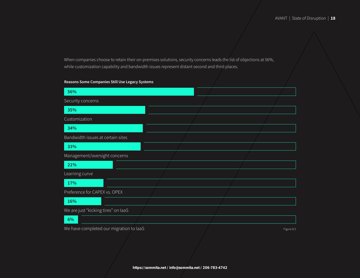When companies choose to retain their on-premises solutions, security concerns leads the list of objections at 56%, while customization capability and bandwidth issues represent distant second and third places.

#### **Reasons Some Companies Still Use Legacy Systems**

| 56%                                     |  |            |
|-----------------------------------------|--|------------|
| Security concerns                       |  |            |
| 35%                                     |  |            |
| Customization                           |  |            |
| 34%                                     |  |            |
| Bandwidth issues at certain sites       |  |            |
| 33%                                     |  |            |
| Management/oversight concerns           |  |            |
| 21%                                     |  |            |
| Learning curve                          |  |            |
| 17%                                     |  |            |
| Preference for CAPEX vs. OPEX           |  |            |
| 16%                                     |  |            |
| We are just "kicking tires" on laaS     |  |            |
| 6%                                      |  |            |
| We have completed our migration to laaS |  | Figure 8.3 |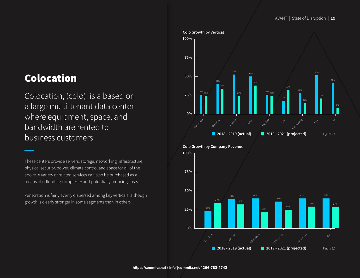### Colocation

Colocation, (colo), is a based on a large multi-tenant data center where equipment, space, and bandwidth are rented to business customers.

These centers provide servers, storage, networking infrastructure, physical security, power, climate control and space for all of the above. A variety of related services can also be purchased as a means of offloading complexity and potentially reducing costs.

Penetration is fairly evenly dispersed among key verticals, although growth is clearly stronger in some segments than in others.

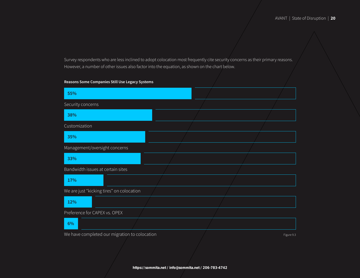Survey respondents who are less inclined to adopt colocation most frequently cite security concerns as their primary reasons. However, a number of other issues also factor into the equation, as shown on the chart below.

#### **Reasons Some Companies Still Use Legacy Systems**

| 55%                                           |  |            |
|-----------------------------------------------|--|------------|
| Security concerns                             |  |            |
| 38%                                           |  |            |
| Customization                                 |  |            |
| 35%                                           |  |            |
| Management/oversight concerns                 |  |            |
| 33%                                           |  |            |
| Bandwidth issues at certain sites             |  |            |
| 17%                                           |  |            |
| We are just "kicking tires" on colocation     |  |            |
| 12%                                           |  |            |
| Preference for CAPEX vs. OPEX                 |  |            |
| 6%                                            |  |            |
| We have completed our migration to colocation |  | Figure 9.3 |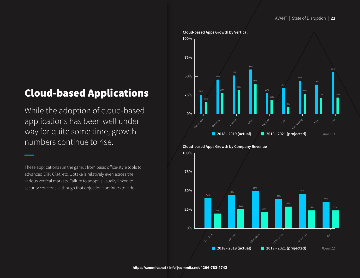### Cloud-based Applications

While the adoption of cloud-based applications has been well under way for quite some time, growth numbers continue to rise.

These applications run the gamut from basic office-style tools to advanced ERP, CRM, etc. Uptake is relatively even across the various vertical markets. Failure to adopt is usually linked to security concerns, although that objection continues to fade.



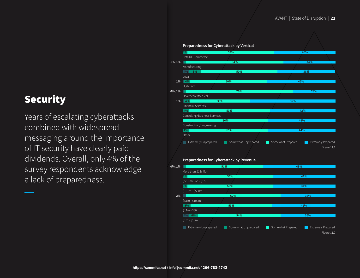### Security

Years of escalating cyberattacks combined with widespread messaging around the importance of IT security have clearly paid dividends. Overall, only 4% of the survey respondents acknowledge a lack of preparedness.

|                       | Preparedness for Cyberattack by Vertical |                     |                   |                                                         |
|-----------------------|------------------------------------------|---------------------|-------------------|---------------------------------------------------------|
|                       | 3%                                       | 57%                 |                   | 40%                                                     |
|                       | Retail/E-Commerce<br>ш                   | 64%                 |                   | 34%                                                     |
| 1%, 1%                |                                          |                     |                   |                                                         |
|                       | Manufacturing<br>4% 8%                   | 50%                 |                   | 38%                                                     |
|                       | Legal                                    |                     |                   |                                                         |
|                       | $1\%$ 4%                                 | 50%                 | 45%               |                                                         |
|                       | High Tech                                |                     |                   |                                                         |
| $0\%, 1\%$            |                                          | 70%                 |                   | 28%                                                     |
|                       | Healthcare/Medical                       |                     |                   |                                                         |
|                       | $1\%$ 4%<br>39%                          |                     | 56%               |                                                         |
|                       | <b>Financial Services</b>                |                     |                   |                                                         |
|                       | 4%                                       | 53%                 | 42%               |                                                         |
|                       | Consulting/Business Services             |                     |                   |                                                         |
|                       |                                          | 56%                 | 44%               |                                                         |
|                       | Construction/Engineering                 |                     |                   |                                                         |
|                       | 4%                                       | 52%                 | 44%               |                                                         |
|                       | Other                                    |                     |                   |                                                         |
|                       |                                          |                     |                   |                                                         |
|                       | <b>Extremely Unprepared</b>              | Somewhat Unprepared | Somewhat Prepared | <b>Extremely Prepared</b>                               |
|                       |                                          |                     |                   |                                                         |
|                       |                                          |                     |                   |                                                         |
|                       |                                          |                     |                   |                                                         |
|                       | Preparedness for Cyberattack by Revenue  |                     |                   |                                                         |
|                       |                                          |                     |                   |                                                         |
|                       | ш                                        | 51%                 | 48%               |                                                         |
|                       | More than \$1 billion                    |                     |                   |                                                         |
|                       | 3%                                       | 56%                 | 41%               |                                                         |
|                       | \$501 million - \$1b                     |                     |                   |                                                         |
|                       | 3%                                       | 56%                 | 41%               |                                                         |
| $2\%$                 | \$101m - \$500m                          |                     |                   |                                                         |
|                       |                                          | 62%                 |                   | 36%                                                     |
|                       | \$51m - \$100m                           |                     |                   |                                                         |
|                       | $5\%$                                    | 53%                 | 41%               |                                                         |
| $0\%, \overline{1\%}$ | $$11m - $50m$<br>4% 6%                   | 54%                 |                   | 36%                                                     |
|                       |                                          |                     |                   |                                                         |
|                       | $$1m - $10m$                             |                     |                   |                                                         |
|                       | Extremely Unprepared                     | Somewhat Unprepared | Somewhat Prepared |                                                         |
|                       |                                          |                     |                   | Figure 11.1<br><b>Extremely Prepared</b><br>Figure 11.2 |
|                       |                                          |                     |                   |                                                         |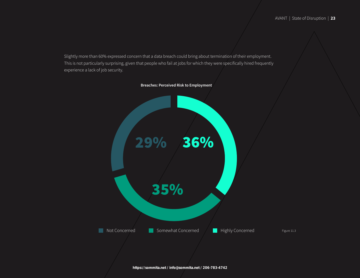Slightly more than 60% expressed concern that a data breach could bring about termination of their employment. This is not particularly surprising, given that people who fail at jobs for which they were specifically hired frequently experience a lack of job security.

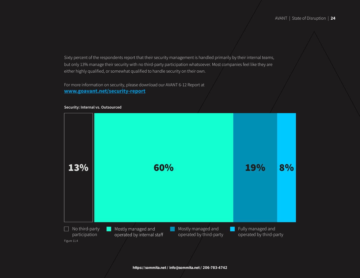Sixty percent of the respondents report that their security management is handled primarily by their internal teams, but only 13% manage their security with no third-party participation whatsoever. Most companies feel like they are either highly qualified, or somewhat qualified to handle security on their own.

For more information on security, please download our AVANT 6-12 Report at **[www.goavant.net/](http://www.goavant.net/security-report)security-report**



#### **Security: Internal vs. Outsourced**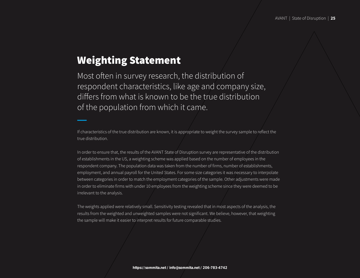#### Weighting Statement

Most often in survey research, the distribution of respondent characteristics, like age and company size, differs from what is known to be the true distribution of the population from which it came.

If characteristics of the true distribution are known, it is appropriate to weight the survey sample to reflect the true distribution.

In order to ensure that, the results of the AVANT State of Disruption survey are representative of the distribution of establishments in the US, a weighting scheme was applied based on the number of employees in the respondent company. The population data was taken from the number of firms, number of establishments, employment, and annual payroll for the United States. For some size categories it was necessary to interpolate between categories in order to match the employment categories of the sample. Other adjustments were made in order to eliminate firms with under 10 employees from the weighting scheme since they were deemed to be irrelevant to the analysis.

The weights applied were relatively small. Sensitivity testing revealed that in most aspects of the analysis, the results from the weighted and unweighted samples were not significant. We believe, however, that weighting the sample will make it easier to interpret results for future comparable studies.